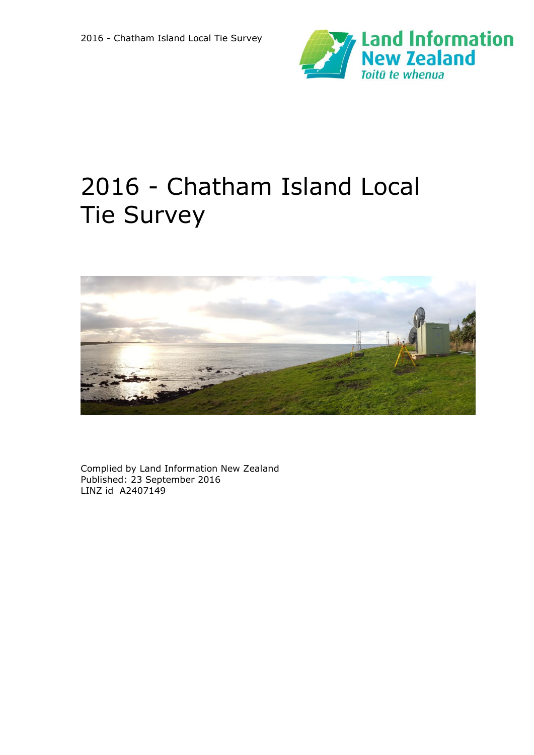



Complied by Land Information New Zealand Published: 23 September 2016 LINZ id A2407149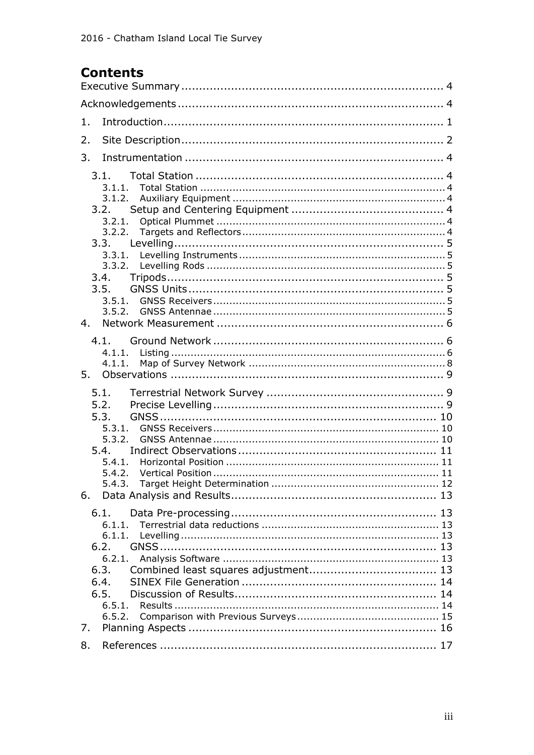# **Contents**

| 1. |                                                                                                  |
|----|--------------------------------------------------------------------------------------------------|
| 2. |                                                                                                  |
| 3. |                                                                                                  |
| 4. | 3.1.<br>3.1.1.<br>3.1.2.<br>3.2.<br>3.2.1.<br>3.2.2.<br>3.3.<br>3.4.<br>3.5.<br>3.5.1.<br>3.5.2. |
| 5. | 4.1.<br>4.1.1.                                                                                   |
| 6. | 5.1.<br>5.2.<br>5.3.<br>5.3.1.<br>5.3.2.<br>5.4.<br>5.4.1.<br>5.4.2.<br>5.4.3.                   |
|    | 6.1.<br>6.1.1.<br>6.1.1.<br>6.2.<br>6.2.1.<br>6.3.<br>6.4.<br>6.5.                               |
| 7. |                                                                                                  |
| 8. |                                                                                                  |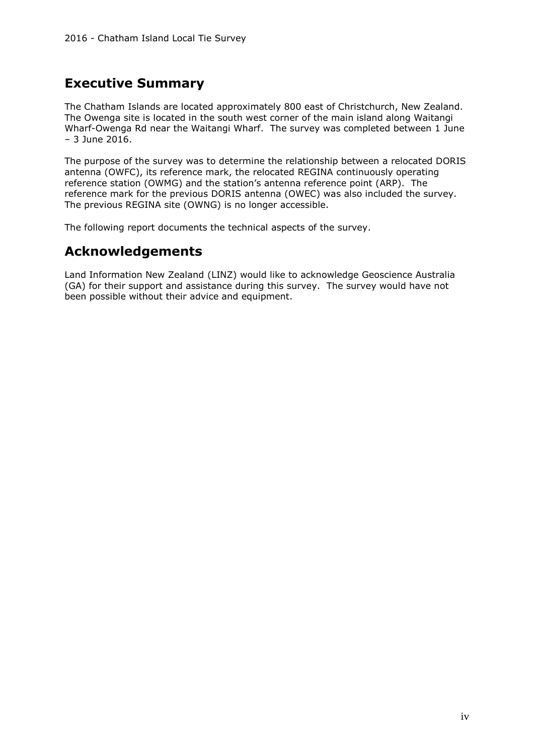# <span id="page-3-0"></span>**Executive Summary**

The Chatham Islands are located approximately 800 east of Christchurch, New Zealand. The Owenga site is located in the south west corner of the main island along Waitangi Wharf-Owenga Rd near the Waitangi Wharf. The survey was completed between 1 June – 3 June 2016.

The purpose of the survey was to determine the relationship between a relocated DORIS antenna (OWFC), its reference mark, the relocated REGINA continuously operating reference station (OWMG) and the station's antenna reference point (ARP). The reference mark for the previous DORIS antenna (OWEC) was also included the survey. The previous REGINA site (OWNG) is no longer accessible.

The following report documents the technical aspects of the survey.

# <span id="page-3-1"></span>**Acknowledgements**

Land Information New Zealand (LINZ) would like to acknowledge Geoscience Australia (GA) for their support and assistance during this survey. The survey would have not been possible without their advice and equipment.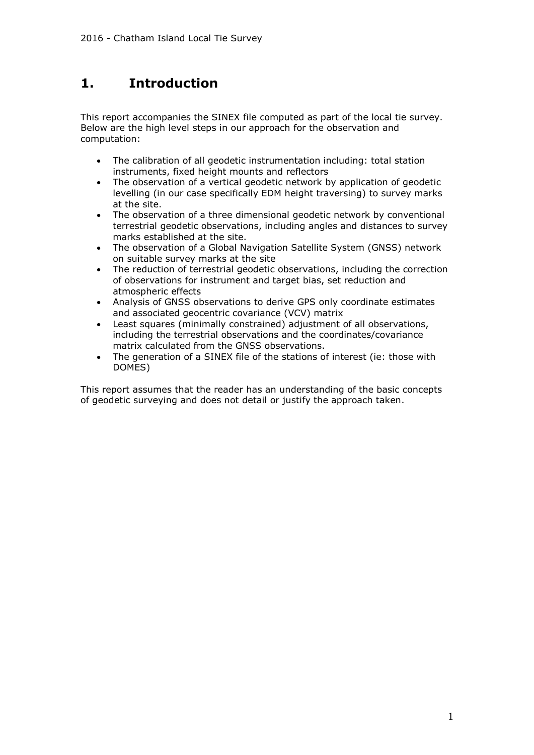# <span id="page-5-0"></span>**1. Introduction**

This report accompanies the SINEX file computed as part of the local tie survey. Below are the high level steps in our approach for the observation and computation:

- The calibration of all geodetic instrumentation including: total station instruments, fixed height mounts and reflectors
- The observation of a vertical geodetic network by application of geodetic levelling (in our case specifically EDM height traversing) to survey marks at the site.
- The observation of a three dimensional geodetic network by conventional terrestrial geodetic observations, including angles and distances to survey marks established at the site.
- The observation of a Global Navigation Satellite System (GNSS) network on suitable survey marks at the site
- The reduction of terrestrial geodetic observations, including the correction of observations for instrument and target bias, set reduction and atmospheric effects
- Analysis of GNSS observations to derive GPS only coordinate estimates and associated geocentric covariance (VCV) matrix
- Least squares (minimally constrained) adjustment of all observations, including the terrestrial observations and the coordinates/covariance matrix calculated from the GNSS observations.
- The generation of a SINEX file of the stations of interest (ie: those with DOMES)

This report assumes that the reader has an understanding of the basic concepts of geodetic surveying and does not detail or justify the approach taken.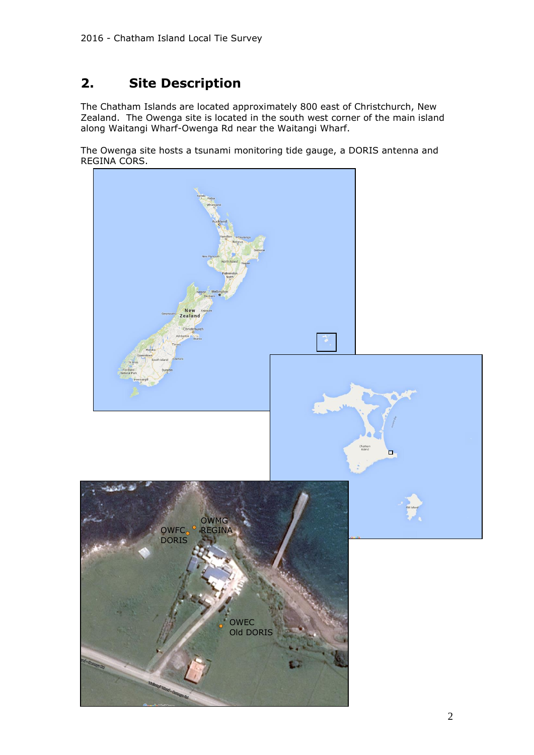# <span id="page-6-0"></span>**2. Site Description**

The Chatham Islands are located approximately 800 east of Christchurch, New Zealand. The Owenga site is located in the south west corner of the main island along Waitangi Wharf-Owenga Rd near the Waitangi Wharf.

The Owenga site hosts a tsunami monitoring tide gauge, a DORIS antenna and REGINA CORS.

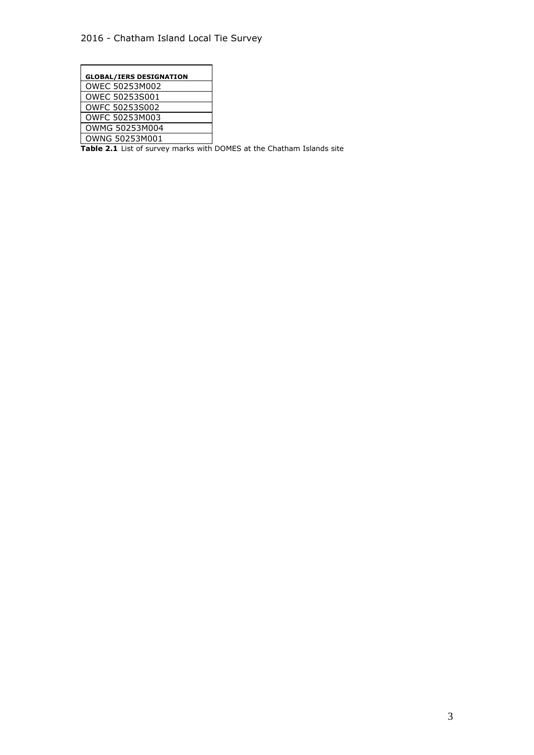| <b>GLOBAL/IERS DESIGNATION</b> |
|--------------------------------|
| OWEC 50253M002                 |
| OWEC 50253S001                 |
| OWFC 50253S002                 |
| OWFC 50253M003                 |
| OWMG 50253M004                 |
| OWNG 50253M001                 |

**Table 2.1** List of survey marks with DOMES at the Chatham Islands site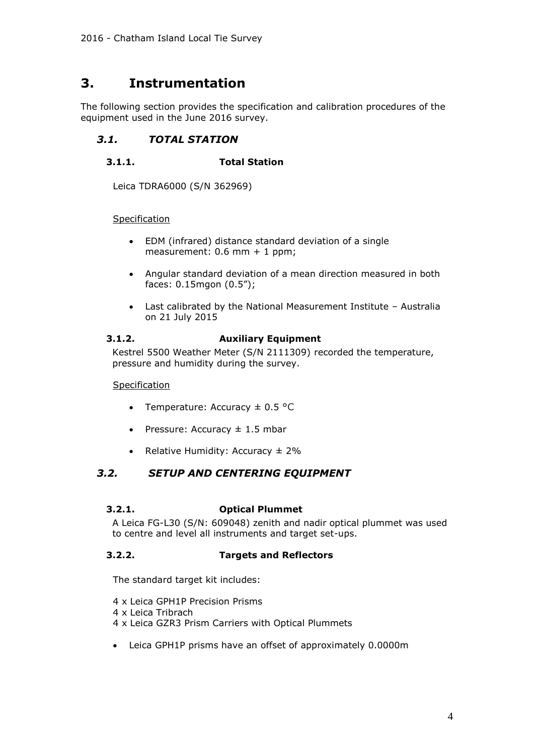# <span id="page-8-0"></span>**3. Instrumentation**

The following section provides the specification and calibration procedures of the equipment used in the June 2016 survey.

# <span id="page-8-2"></span><span id="page-8-1"></span>*3.1. TOTAL STATION*

# **3.1.1. Total Station**

Leica TDRA6000 (S/N 362969)

#### Specification

- EDM (infrared) distance standard deviation of a single measurement: 0.6 mm + 1 ppm;
- Angular standard deviation of a mean direction measured in both faces: 0.15mgon (0.5");
- Last calibrated by the National Measurement Institute Australia on 21 July 2015

#### <span id="page-8-3"></span>**3.1.2. Auxiliary Equipment**

Kestrel 5500 Weather Meter (S/N 2111309) recorded the temperature, pressure and humidity during the survey.

Specification

- Temperature: Accuracy  $\pm$  0.5 °C
- Pressure: Accuracy  $\pm$  1.5 mbar
- <span id="page-8-4"></span>• Relative Humidity: Accuracy  $\pm 2\%$

# *3.2. SETUP AND CENTERING EQUIPMENT*

#### <span id="page-8-5"></span>**3.2.1. Optical Plummet**

A Leica FG-L30 (S/N: 609048) zenith and nadir optical plummet was used to centre and level all instruments and target set-ups.

# <span id="page-8-6"></span>**3.2.2. Targets and Reflectors**

The standard target kit includes:

- 4 x Leica GPH1P Precision Prisms
- 4 x Leica Tribrach
- 4 x Leica GZR3 Prism Carriers with Optical Plummets
- Leica GPH1P prisms have an offset of approximately 0.0000m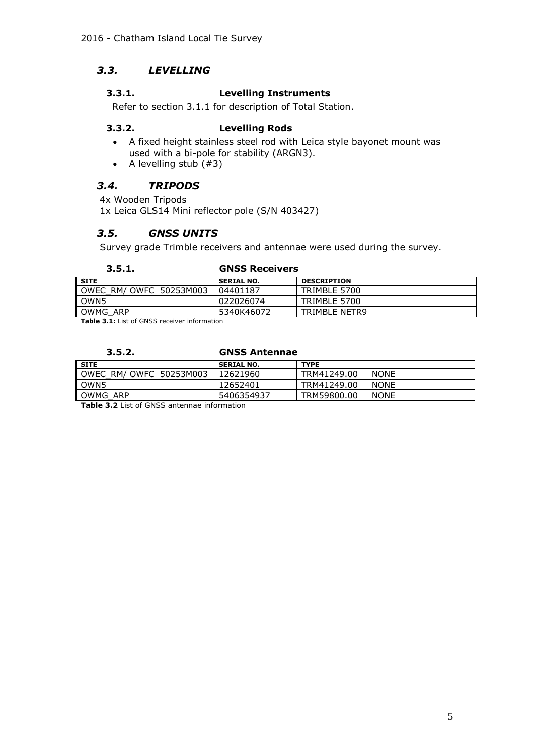# <span id="page-9-1"></span>*3.3. LEVELLING*

# <span id="page-9-0"></span>**3.3.1. Levelling Instruments**

Refer to section 3.1.1 for description of Total Station.

#### <span id="page-9-2"></span>**3.3.2. Levelling Rods**

- A fixed height stainless steel rod with Leica style bayonet mount was used with a bi-pole for stability (ARGN3).
- <span id="page-9-3"></span>• A levelling stub  $(#3)$

# *3.4. TRIPODS*

4x Wooden Tripods

<span id="page-9-4"></span>1x Leica GLS14 Mini reflector pole (S/N 403427)

# *3.5. GNSS UNITS*

Survey grade Trimble receivers and antennae were used during the survey.

# <span id="page-9-5"></span>**3.5.1. GNSS Receivers**

| <b>SITE</b>             | <b>SERIAL NO.</b> | <b>DESCRIPTION</b> |
|-------------------------|-------------------|--------------------|
| OWEC RM/ OWFC 50253M003 | 04401187          | TRIMBLE 5700       |
| OWN <sub>5</sub>        | 022026074         | TRIMBLE 5700       |
| OWMG ARP                | 5340K46072        | TRIMBLE NETR9      |

<span id="page-9-6"></span>**Table 3.1:** List of GNSS receiver information

# **3.5.2. GNSS Antennae**

| <b>SITE</b>             | <b>SERIAL NO.</b> | <b>TYPE</b> |             |
|-------------------------|-------------------|-------------|-------------|
| OWEC RM/ OWFC 50253M003 | 12621960          | TRM41249.00 | <b>NONE</b> |
| OWN5                    | 12652401          | TRM41249.00 | <b>NONE</b> |
| OWMG ARP                | 5406354937        | TRM59800.00 | <b>NONE</b> |

**Table 3.2** List of GNSS antennae information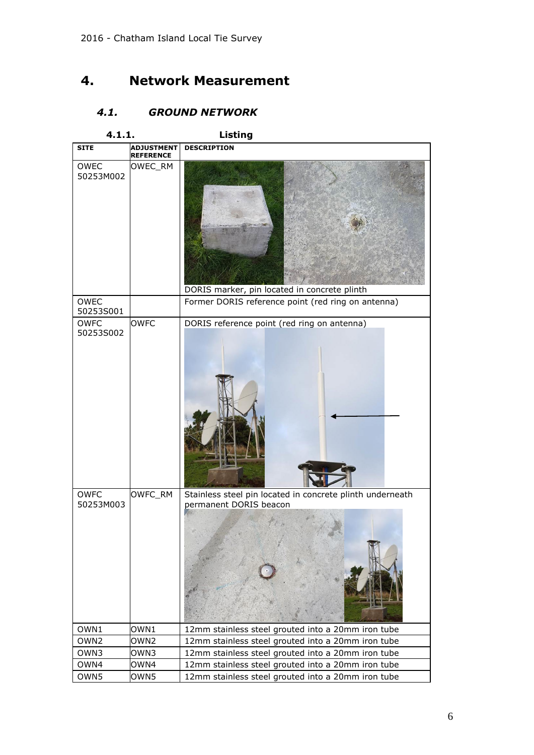# <span id="page-10-0"></span>**4. Network Measurement**

# <span id="page-10-1"></span>*4.1. GROUND NETWORK*

<span id="page-10-2"></span>

| 4.1.1.                   |                                       | Listing                                                                             |
|--------------------------|---------------------------------------|-------------------------------------------------------------------------------------|
| <b>SITE</b>              | <b>ADJUSTMENT</b><br><b>REFERENCE</b> | <b>DESCRIPTION</b>                                                                  |
| OWEC<br>50253M002        | OWEC_RM                               | DORIS marker, pin located in concrete plinth                                        |
| OWEC<br>50253S001        |                                       | Former DORIS reference point (red ring on antenna)                                  |
| <b>OWFC</b><br>50253S002 | <b>OWFC</b>                           | DORIS reference point (red ring on antenna)                                         |
| <b>OWFC</b><br>50253M003 | OWFC_RM                               | Stainless steel pin located in concrete plinth underneath<br>permanent DORIS beacon |
| OWN1                     | OWN1                                  | 12mm stainless steel grouted into a 20mm iron tube                                  |
| OWN <sub>2</sub>         | OWN <sub>2</sub>                      | 12mm stainless steel grouted into a 20mm iron tube                                  |
| OWN3                     | OWN3                                  | 12mm stainless steel grouted into a 20mm iron tube                                  |
| OWN4                     | OWN4                                  | 12mm stainless steel grouted into a 20mm iron tube                                  |
| OWN5                     | OWN5                                  | 12mm stainless steel grouted into a 20mm iron tube                                  |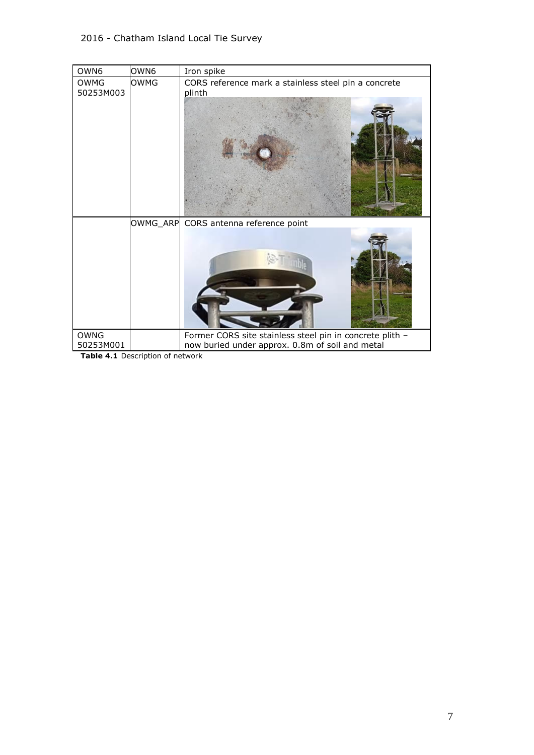| OWN6                     | OWN <sub>6</sub> | Iron spike                                                                                                  |
|--------------------------|------------------|-------------------------------------------------------------------------------------------------------------|
| <b>OWMG</b><br>50253M003 | <b>OWMG</b>      | CORS reference mark a stainless steel pin a concrete<br>plinth                                              |
| <b>OWNG</b>              |                  | OWMG_ARP CORS antenna reference point                                                                       |
| 50253M001                |                  | Former CORS site stainless steel pin in concrete plith -<br>now buried under approx. 0.8m of soil and metal |

**Table 4.1** Description of network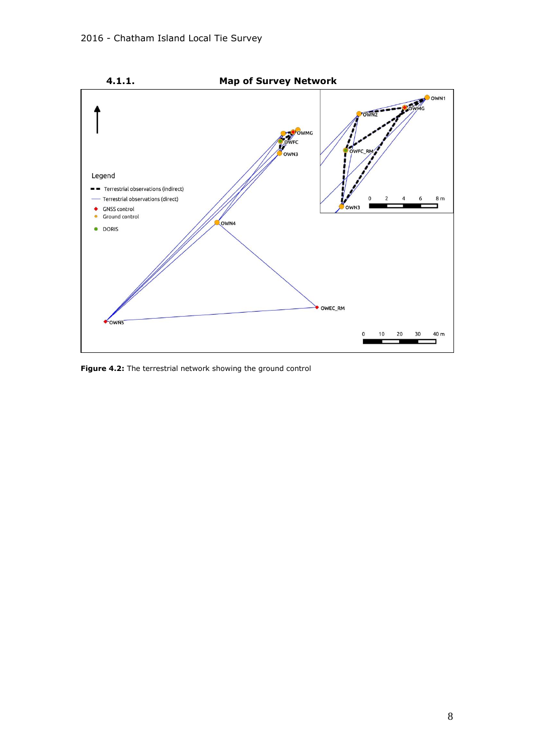<span id="page-12-0"></span>

**Figure 4.2:** The terrestrial network showing the ground control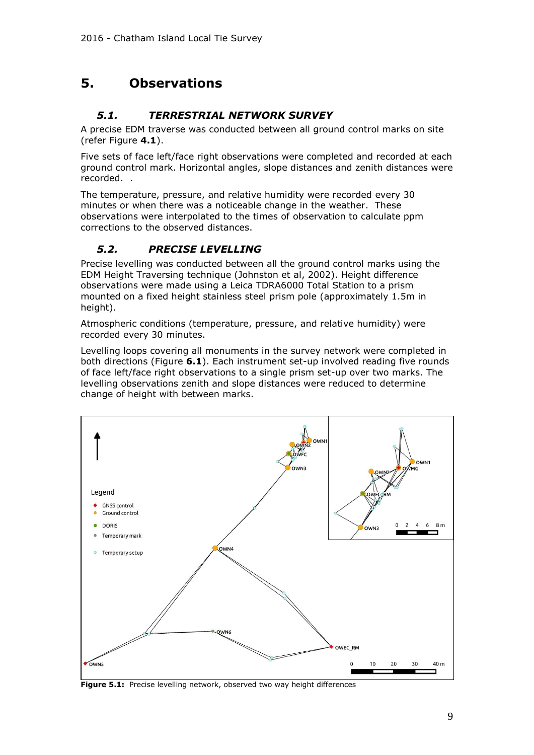# <span id="page-13-0"></span>**5. Observations**

# <span id="page-13-1"></span>*5.1. TERRESTRIAL NETWORK SURVEY*

A precise EDM traverse was conducted between all ground control marks on site (refer Figure **4.1**).

Five sets of face left/face right observations were completed and recorded at each ground control mark. Horizontal angles, slope distances and zenith distances were recorded. .

The temperature, pressure, and relative humidity were recorded every 30 minutes or when there was a noticeable change in the weather. These observations were interpolated to the times of observation to calculate ppm corrections to the observed distances.

# <span id="page-13-2"></span>*5.2. PRECISE LEVELLING*

Precise levelling was conducted between all the ground control marks using the EDM Height Traversing technique (Johnston et al, 2002). Height difference observations were made using a Leica TDRA6000 Total Station to a prism mounted on a fixed height stainless steel prism pole (approximately 1.5m in height).

Atmospheric conditions (temperature, pressure, and relative humidity) were recorded every 30 minutes.

Levelling loops covering all monuments in the survey network were completed in both directions (Figure **6.1**). Each instrument set-up involved reading five rounds of face left/face right observations to a single prism set-up over two marks. The levelling observations zenith and slope distances were reduced to determine change of height with between marks.



**Figure 5.1:** Precise levelling network, observed two way height differences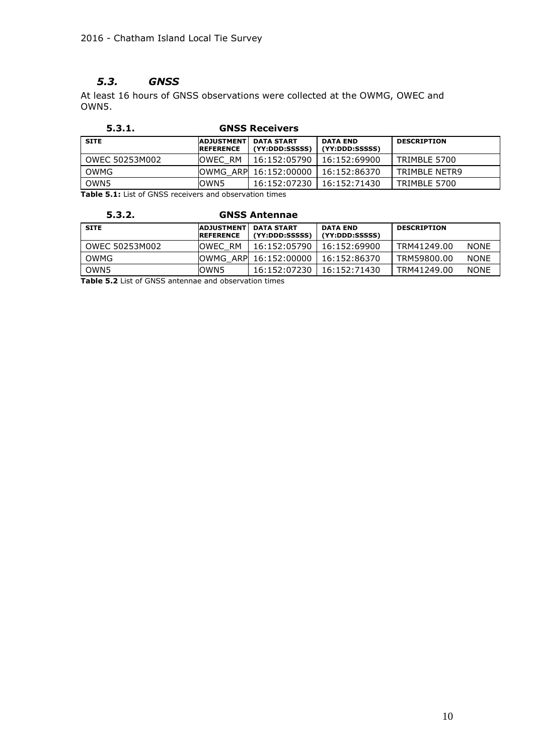# <span id="page-14-0"></span>*5.3. GNSS*

At least 16 hours of GNSS observations were collected at the OWMG, OWEC and OWN5.

<span id="page-14-1"></span>

| 5.3.1.         |                                       | <b>GNSS Receivers</b>               |                                   |                    |
|----------------|---------------------------------------|-------------------------------------|-----------------------------------|--------------------|
| <b>SITE</b>    | <b>ADJUSTMENT</b><br><b>REFERENCE</b> | <b>DATA START</b><br>(YY:DDD:SSSSS) | <b>DATA END</b><br>(YY:DDD:SSSSS) | <b>DESCRIPTION</b> |
| OWEC 50253M002 | <b>IOWEC RM</b>                       | 16:152:05790                        | 16:152:69900                      | TRIMBLE 5700       |
| OWMG           |                                       | OWMG ARP 16:152:00000               | 16:152:86370                      | TRIMBLE NETR9      |
| OWN5           | lown5                                 | 16:152:07230                        | 16:152:71430                      | TRIMBLE 5700       |

<span id="page-14-2"></span>**Table 5.1:** List of GNSS receivers and observation times

| 5.3.2. | <b>GNSS Antennae</b> |
|--------|----------------------|
|        |                      |

| <b>SITE</b>      | <b>ADJUSTMENT</b><br><b>REFERENCE</b> | <b>DATA START</b><br>(YY:DDD:SSSSS) | <b>DATA END</b><br>(YY:DDD:SSSSS) | <b>DESCRIPTION</b> |             |
|------------------|---------------------------------------|-------------------------------------|-----------------------------------|--------------------|-------------|
| OWEC 50253M002   | <b>OWEC RM</b>                        | 16:152:05790                        | 16:152:69900                      | TRM41249.00        | <b>NONE</b> |
| OWMG             |                                       | OWMG ARP 16:152:00000               | 16:152:86370                      | TRM59800.00        | <b>NONE</b> |
| OWN <sub>5</sub> | OWN5                                  | 16:152:07230                        | 16:152:71430                      | TRM41249.00        | <b>NONE</b> |

**Table 5.2** List of GNSS antennae and observation times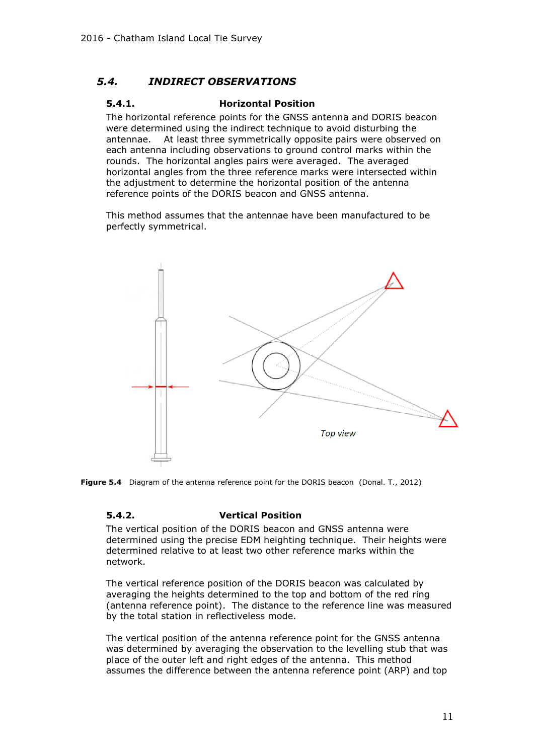# <span id="page-15-1"></span><span id="page-15-0"></span>*5.4. INDIRECT OBSERVATIONS*

### **5.4.1. Horizontal Position**

The horizontal reference points for the GNSS antenna and DORIS beacon were determined using the indirect technique to avoid disturbing the antennae. At least three symmetrically opposite pairs were observed on each antenna including observations to ground control marks within the rounds. The horizontal angles pairs were averaged. The averaged horizontal angles from the three reference marks were intersected within the adjustment to determine the horizontal position of the antenna reference points of the DORIS beacon and GNSS antenna.

This method assumes that the antennae have been manufactured to be perfectly symmetrical.



<span id="page-15-2"></span>**Figure 5.4** Diagram of the antenna reference point for the DORIS beacon (Donal. T., 2012)

# **5.4.2. Vertical Position**

The vertical position of the DORIS beacon and GNSS antenna were determined using the precise EDM heighting technique. Their heights were determined relative to at least two other reference marks within the network.

The vertical reference position of the DORIS beacon was calculated by averaging the heights determined to the top and bottom of the red ring (antenna reference point). The distance to the reference line was measured by the total station in reflectiveless mode.

The vertical position of the antenna reference point for the GNSS antenna was determined by averaging the observation to the levelling stub that was place of the outer left and right edges of the antenna. This method assumes the difference between the antenna reference point (ARP) and top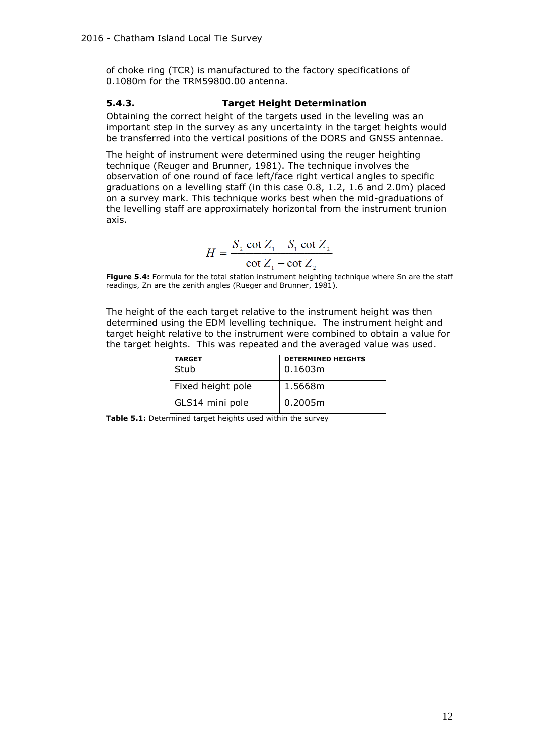of choke ring (TCR) is manufactured to the factory specifications of 0.1080m for the TRM59800.00 antenna.

# <span id="page-16-0"></span>**5.4.3. Target Height Determination**

Obtaining the correct height of the targets used in the leveling was an important step in the survey as any uncertainty in the target heights would be transferred into the vertical positions of the DORS and GNSS antennae.

The height of instrument were determined using the reuger heighting technique (Reuger and Brunner, 1981). The technique involves the observation of one round of face left/face right vertical angles to specific graduations on a levelling staff (in this case 0.8, 1.2, 1.6 and 2.0m) placed on a survey mark. This technique works best when the mid-graduations of the levelling staff are approximately horizontal from the instrument trunion axis.

$$
H = \frac{S_2 \cot Z_1 - S_1 \cot Z_2}{\cot Z_1 - \cot Z_2}
$$

**Figure 5.4:** Formula for the total station instrument heighting technique where Sn are the staff readings, Zn are the zenith angles (Rueger and Brunner, 1981).

The height of the each target relative to the instrument height was then determined using the EDM levelling technique. The instrument height and target height relative to the instrument were combined to obtain a value for the target heights. This was repeated and the averaged value was used.

| TARGET            | <b>DETERMINED HEIGHTS</b> |
|-------------------|---------------------------|
| Stub              | 0.1603m                   |
| Fixed height pole | 1.5668m                   |
| GLS14 mini pole   | 0.2005m                   |

**Table 5.1:** Determined target heights used within the survey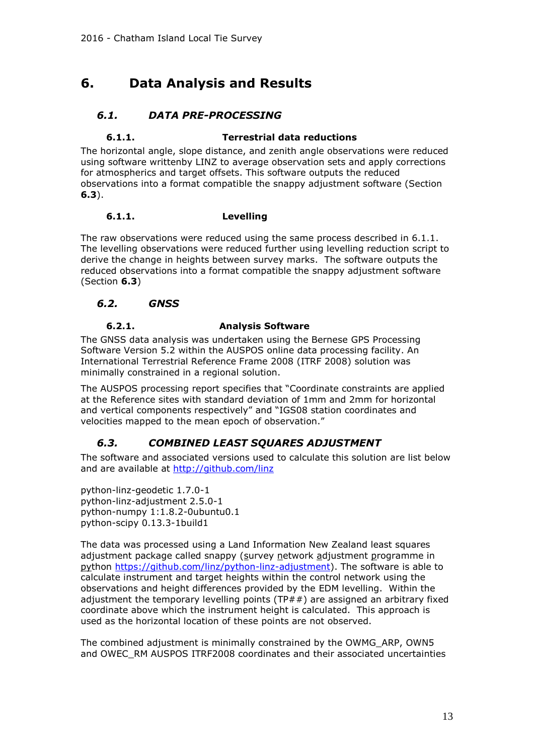# <span id="page-17-0"></span>**6. Data Analysis and Results**

# *6.1. DATA PRE-PROCESSING*

# <span id="page-17-2"></span><span id="page-17-1"></span>**6.1.1. Terrestrial data reductions**

The horizontal angle, slope distance, and zenith angle observations were reduced using software writtenby LINZ to average observation sets and apply corrections for atmospherics and target offsets. This software outputs the reduced observations into a format compatible the snappy adjustment software (Section **[6.3](#page-17-7)**).

# <span id="page-17-3"></span>**6.1.1. Levelling**

The raw observations were reduced using the same process described in [6.1.1.](#page-17-2) The levelling observations were reduced further using levelling reduction script to derive the change in heights between survey marks. The software outputs the reduced observations into a format compatible the snappy adjustment software (Section **[6.3](#page-17-7)**)

# <span id="page-17-4"></span>*6.2. GNSS*

# **6.2.1. Analysis Software**

<span id="page-17-5"></span>The GNSS data analysis was undertaken using the Bernese GPS Processing Software Version 5.2 within the AUSPOS online data processing facility. An International Terrestrial Reference Frame 2008 (ITRF 2008) solution was minimally constrained in a regional solution.

The AUSPOS processing report specifies that "Coordinate constraints are applied at the Reference sites with standard deviation of 1mm and 2mm for horizontal and vertical components respectively" and "IGS08 station coordinates and velocities mapped to the mean epoch of observation."

# <span id="page-17-7"></span><span id="page-17-6"></span>*6.3. COMBINED LEAST SQUARES ADJUSTMENT*

The software and associated versions used to calculate this solution are list below and are available at<http://github.com/linz>

python-linz-geodetic 1.7.0-1 python-linz-adjustment 2.5.0-1 python-numpy 1:1.8.2-0ubuntu0.1 python-scipy 0.13.3-1build1

The data was processed using a Land Information New Zealand least squares adjustment package called snappy (survey network adjustment programme in python [https://github.com/linz/python-linz-adjustment\)](https://github.com/linz/python-linz-adjustment). The software is able to calculate instrument and target heights within the control network using the observations and height differences provided by the EDM levelling. Within the adjustment the temporary levelling points (TP $##$ ) are assigned an arbitrary fixed coordinate above which the instrument height is calculated. This approach is used as the horizontal location of these points are not observed.

The combined adjustment is minimally constrained by the OWMG\_ARP, OWN5 and OWEC\_RM AUSPOS ITRF2008 coordinates and their associated uncertainties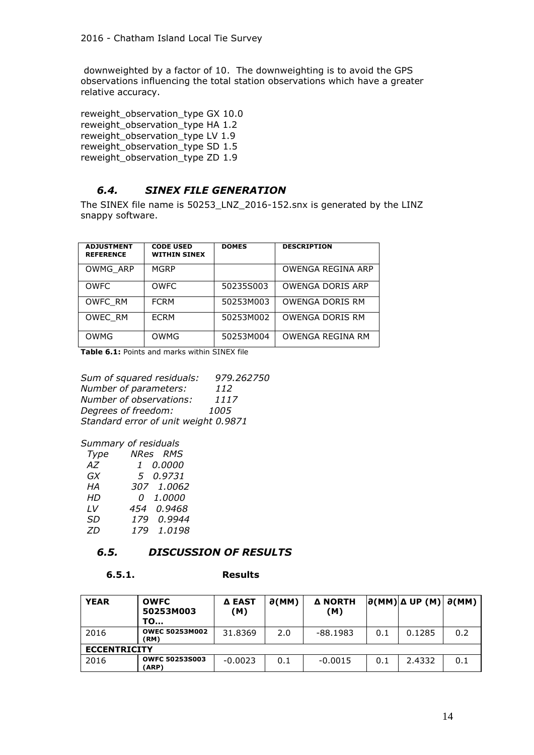downweighted by a factor of 10. The downweighting is to avoid the GPS observations influencing the total station observations which have a greater relative accuracy.

reweight\_observation\_type GX 10.0 reweight\_observation\_type HA 1.2 reweight\_observation\_type LV 1.9 reweight\_observation\_type SD 1.5 reweight\_observation\_type ZD 1.9

#### <span id="page-18-0"></span>*6.4. SINEX FILE GENERATION*

The SINEX file name is 50253\_LNZ\_2016-152.snx is generated by the LINZ snappy software.

| <b>ADJUSTMENT</b><br><b>REFERENCE</b> | <b>CODE USED</b><br><b>WITHIN SINEX</b> | <b>DOMES</b> | <b>DESCRIPTION</b>     |
|---------------------------------------|-----------------------------------------|--------------|------------------------|
| OWMG ARP                              | MGRP                                    |              | OWENGA REGINA ARP      |
| <b>OWFC</b>                           | <b>OWFC</b>                             | 50235S003    | OWENGA DORIS ARP       |
| OWFC RM                               | <b>FCRM</b>                             | 50253M003    | <b>OWENGA DORIS RM</b> |
| OWEC RM                               | <b>FCRM</b>                             | 50253M002    | <b>OWENGA DORIS RM</b> |
| OWMG                                  | <b>OWMG</b>                             | 50253M004    | OWENGA REGINA RM       |

**Table 6.1:** Points and marks within SINEX file

*Sum of squared residuals: 979.262750 Number of parameters: 112 Number of observations: 1117 Degrees of freedom: 1005 Standard error of unit weight 0.9871*

#### *Summary of residuals*

| Type | NRes RMS                 |
|------|--------------------------|
| AZ   | 0.0000<br>$\mathfrak{t}$ |
| GX   | 5 0.9731                 |
| НA   | 307 1.0062               |
| HD   | 1.0000<br>0              |
| LV   | 0.9468<br>454            |
| SD   | 0.9944<br>179            |
| 7D   | 1.0198<br>179            |
|      |                          |

# *6.5. DISCUSSION OF RESULTS*

#### <span id="page-18-2"></span><span id="page-18-1"></span>**6.5.1. Results**

| <b>YEAR</b>         | <b>OWFC</b><br>50253M003<br><b>TO</b> | Δ EAST<br>(M) | $\partial(MM)$ | <b>A NORTH</b><br>(M) |     | $ \partial(MM) \Delta UP (M) $ | $\partial(MM)$ |  |  |  |
|---------------------|---------------------------------------|---------------|----------------|-----------------------|-----|--------------------------------|----------------|--|--|--|
| 2016                | <b>OWEC 50253M002</b><br>(RM)         | 31,8369       | 2.0            | $-88.1983$            | 0.1 | 0.1285                         | 0.2            |  |  |  |
| <b>ECCENTRICITY</b> |                                       |               |                |                       |     |                                |                |  |  |  |
| 2016                | <b>OWFC 50253S003</b><br>(ARP)        | $-0.0023$     | 0.1            | $-0.0015$             | 0.1 | 2.4332                         | 0.1            |  |  |  |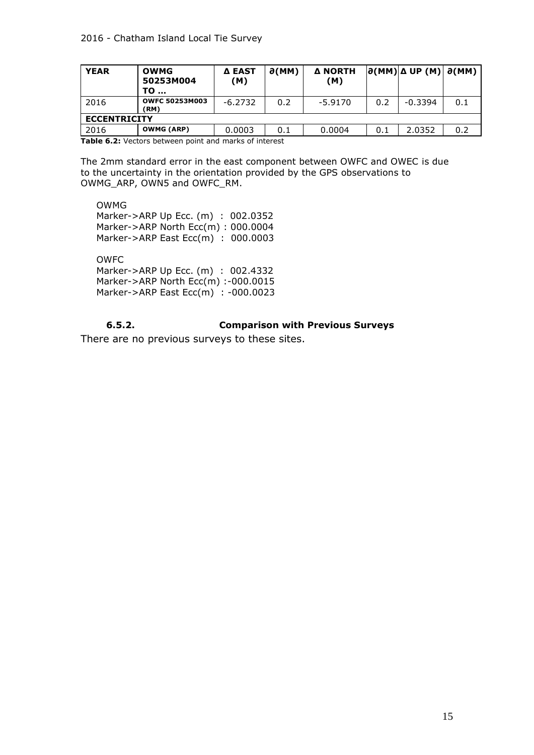| <b>YEAR</b>         | <b>OWMG</b><br>50253M004<br>TO | <b>Δ EAST</b><br>(M) | $\partial(MM)$ | <b>A NORTH</b><br>(M) |     | $ \partial(MM) \Delta UP (M) \partial(MM) $ |     |  |  |  |
|---------------------|--------------------------------|----------------------|----------------|-----------------------|-----|---------------------------------------------|-----|--|--|--|
| 2016                | <b>OWFC 50253M003</b><br>(RM)  | $-6.2732$            | 0.2            | $-5.9170$             | 0.2 | $-0.3394$                                   | 0.1 |  |  |  |
| <b>ECCENTRICITY</b> |                                |                      |                |                       |     |                                             |     |  |  |  |
| 2016                | <b>OWMG (ARP)</b>              | 0.0003               | 0.1            | 0.0004                | 0.1 | 2.0352                                      | 0.2 |  |  |  |

**Table 6.2:** Vectors between point and marks of interest

The 2mm standard error in the east component between OWFC and OWEC is due to the uncertainty in the orientation provided by the GPS observations to OWMG\_ARP, OWN5 and OWFC\_RM.

 OWMG Marker->ARP Up Ecc. (m) : 002.0352 Marker->ARP North Ecc(m) : 000.0004 Marker->ARP East Ecc(m) : 000.0003

 OWFC Marker->ARP Up Ecc. (m) : 002.4332 Marker->ARP North Ecc(m) :-000.0015 Marker->ARP East Ecc(m) : -000.0023

# **6.5.2. Comparison with Previous Surveys**

<span id="page-19-0"></span>There are no previous surveys to these sites.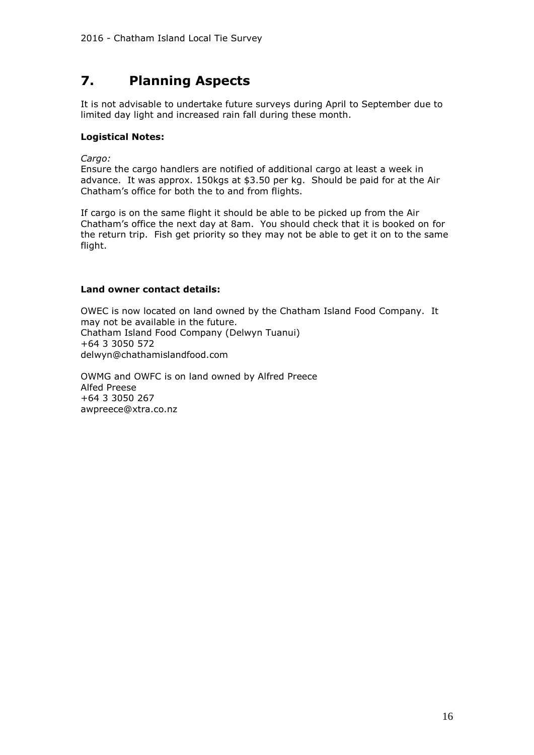# <span id="page-20-0"></span>**7. Planning Aspects**

It is not advisable to undertake future surveys during April to September due to limited day light and increased rain fall during these month.

#### **Logistical Notes:**

*Cargo:*

Ensure the cargo handlers are notified of additional cargo at least a week in advance. It was approx. 150kgs at \$3.50 per kg. Should be paid for at the Air Chatham's office for both the to and from flights.

If cargo is on the same flight it should be able to be picked up from the Air Chatham's office the next day at 8am. You should check that it is booked on for the return trip. Fish get priority so they may not be able to get it on to the same flight.

### **Land owner contact details:**

OWEC is now located on land owned by the Chatham Island Food Company. It may not be available in the future. Chatham Island Food Company (Delwyn Tuanui) +64 3 3050 572 delwyn@chathamislandfood.com

OWMG and OWFC is on land owned by Alfred Preece Alfed Preese +64 3 3050 267 awpreece@xtra.co.nz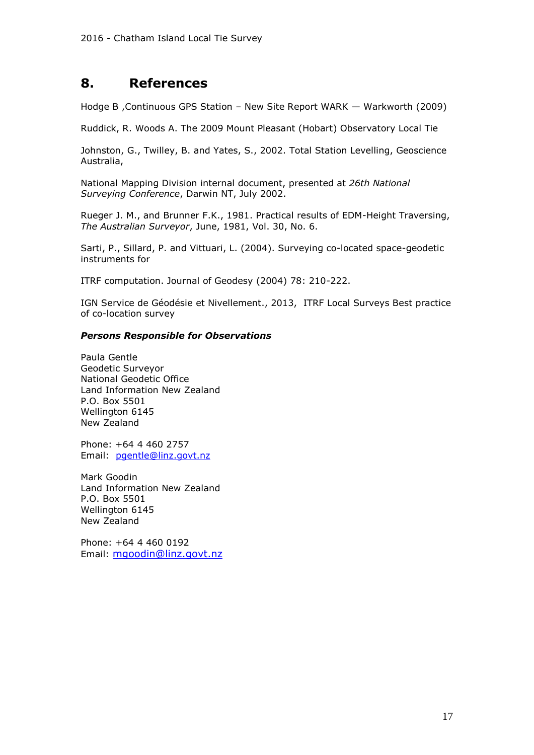# <span id="page-21-0"></span>**8. References**

Hodge B ,Continuous GPS Station – New Site Report WARK — Warkworth (2009)

Ruddick, R. Woods A. The 2009 Mount Pleasant (Hobart) Observatory Local Tie

Johnston, G., Twilley, B. and Yates, S., 2002. Total Station Levelling, Geoscience Australia,

National Mapping Division internal document, presented at *26th National Surveying Conference*, Darwin NT, July 2002.

Rueger J. M., and Brunner F.K., 1981. Practical results of EDM-Height Traversing, *The Australian Surveyor*, June, 1981, Vol. 30, No. 6.

Sarti, P., Sillard, P. and Vittuari, L. (2004). Surveying co-located space-geodetic instruments for

ITRF computation. Journal of Geodesy (2004) 78: 210-222.

IGN Service de Géodésie et Nivellement., 2013, ITRF Local Surveys Best practice of co-location survey

# *Persons Responsible for Observations*

Paula Gentle Geodetic Surveyor National Geodetic Office Land Information New Zealand P.O. Box 5501 Wellington 6145 New Zealand

Phone: +64 4 460 2757 Email: [pgentle@linz.govt.nz](mailto:pgentle@linz.govt.nz)

Mark Goodin Land Information New Zealand P.O. Box 5501 Wellington 6145 New Zealand

Phone: +64 4 460 0192 Email: mgoodin@linz.govt.nz